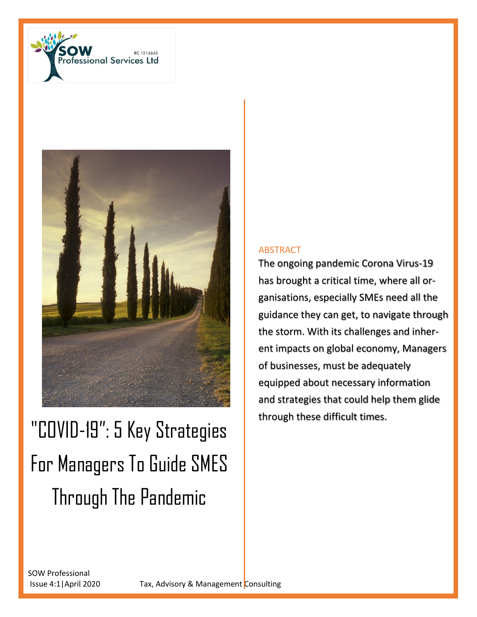



# "COVID-19": 5 Key Strategies For Managers To Guide SMES Through The Pandemic

#### ABSTRACT

The ongoing pandemic Corona Virus-19 has brought a critical time, where all organisations, especially SMEs need all the guidance they can get, to navigate through the storm. With its challenges and inherent impacts on global economy, Managers of businesses, must be adequately equipped about necessary information and strategies that could help them glide through these difficult times.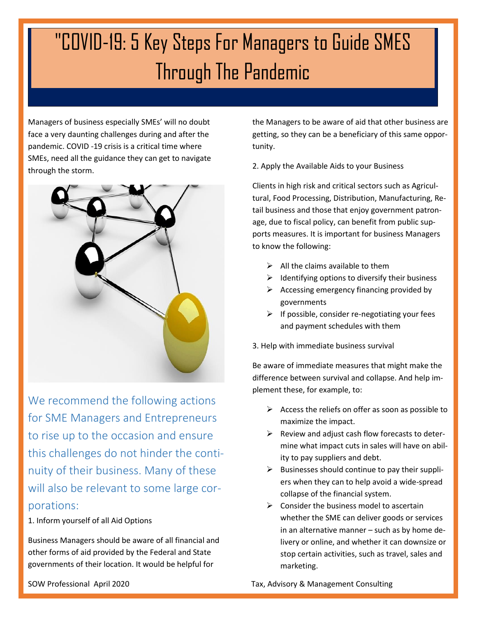## "COVID-19: 5 Key Steps For Managers to Guide SMES Through The Pandemic

Managers of business especially SMEs' will no doubt face a very daunting challenges during and after the pandemic. COVID -19 crisis is a critical time where SMEs, need all the guidance they can get to navigate through the storm.



We recommend the following actions for SME Managers and Entrepreneurs to rise up to the occasion and ensure this challenges do not hinder the continuity of their business. Many of these will also be relevant to some large corporations:

1. Inform yourself of all Aid Options

Business Managers should be aware of all financial and other forms of aid provided by the Federal and State governments of their location. It would be helpful for

the Managers to be aware of aid that other business are getting, so they can be a beneficiary of this same opportunity.

2. Apply the Available Aids to your Business

Clients in high risk and critical sectors such as Agricultural, Food Processing, Distribution, Manufacturing, Retail business and those that enjoy government patronage, due to fiscal policy, can benefit from public supports measures. It is important for business Managers to know the following:

- $\triangleright$  All the claims available to them
- $\triangleright$  Identifying options to diversify their business
- $\triangleright$  Accessing emergency financing provided by governments
- $\triangleright$  If possible, consider re-negotiating your fees and payment schedules with them

3. Help with immediate business survival

Be aware of immediate measures that might make the difference between survival and collapse. And help implement these, for example, to:

- $\triangleright$  Access the reliefs on offer as soon as possible to maximize the impact.
- $\triangleright$  Review and adjust cash flow forecasts to determine what impact cuts in sales will have on ability to pay suppliers and debt.
- $\triangleright$  Businesses should continue to pay their suppliers when they can to help avoid a wide-spread collapse of the financial system.
- $\triangleright$  Consider the business model to ascertain whether the SME can deliver goods or services in an alternative manner – such as by home delivery or online, and whether it can downsize or stop certain activities, such as travel, sales and marketing.

SOW Professional April 2020 **Tax, Advisory & Management Consulting**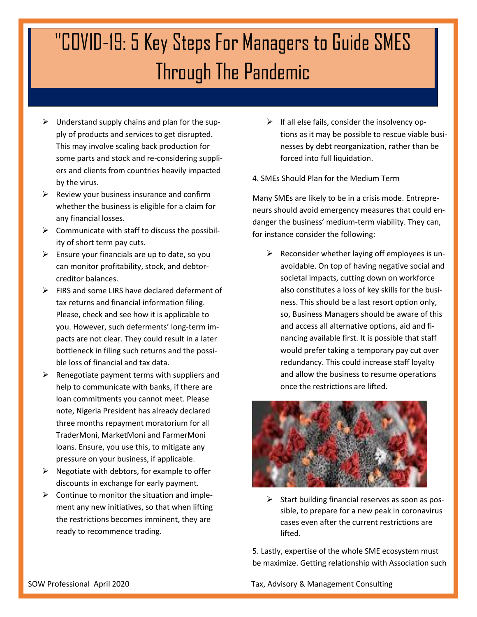## "COVID-19: 5 Key Steps For Managers to Guide SMES Through The Pandemic

- $\triangleright$  Understand supply chains and plan for the supply of products and services to get disrupted. This may involve scaling back production for some parts and stock and re-considering suppliers and clients from countries heavily impacted by the virus.
- $\triangleright$  Review your business insurance and confirm whether the business is eligible for a claim for any financial losses.
- $\triangleright$  Communicate with staff to discuss the possibility of short term pay cuts.
- $\triangleright$  Ensure your financials are up to date, so you can monitor profitability, stock, and debtorcreditor balances.
- $\triangleright$  FIRS and some LIRS have declared deferment of tax returns and financial information filing. Please, check and see how it is applicable to you. However, such deferments' long-term impacts are not clear. They could result in a later bottleneck in filing such returns and the possible loss of financial and tax data.
- $\triangleright$  Renegotiate payment terms with suppliers and help to communicate with banks, if there are loan commitments you cannot meet. Please note, Nigeria President has already declared three months repayment moratorium for all TraderMoni, MarketMoni and FarmerMoni loans. Ensure, you use this, to mitigate any pressure on your business, if applicable.
- $\triangleright$  Negotiate with debtors, for example to offer discounts in exchange for early payment.
- $\triangleright$  Continue to monitor the situation and implement any new initiatives, so that when lifting the restrictions becomes imminent, they are ready to recommence trading.
- $\triangleright$  If all else fails, consider the insolvency options as it may be possible to rescue viable businesses by debt reorganization, rather than be forced into full liquidation.
- 4. SMEs Should Plan for the Medium Term

Many SMEs are likely to be in a crisis mode. Entrepreneurs should avoid emergency measures that could endanger the business' medium-term viability. They can, for instance consider the following:

 $\triangleright$  Reconsider whether laying off employees is unavoidable. On top of having negative social and societal impacts, cutting down on workforce also constitutes a loss of key skills for the business. This should be a last resort option only, so, Business Managers should be aware of this and access all alternative options, aid and financing available first. It is possible that staff would prefer taking a temporary pay cut over redundancy. This could increase staff loyalty and allow the business to resume operations once the restrictions are lifted.



 $\triangleright$  Start building financial reserves as soon as possible, to prepare for a new peak in coronavirus cases even after the current restrictions are lifted.

5. Lastly, expertise of the whole SME ecosystem must be maximize. Getting relationship with Association such

SOW Professional April 2020 **Tax, Advisory & Management Consulting**